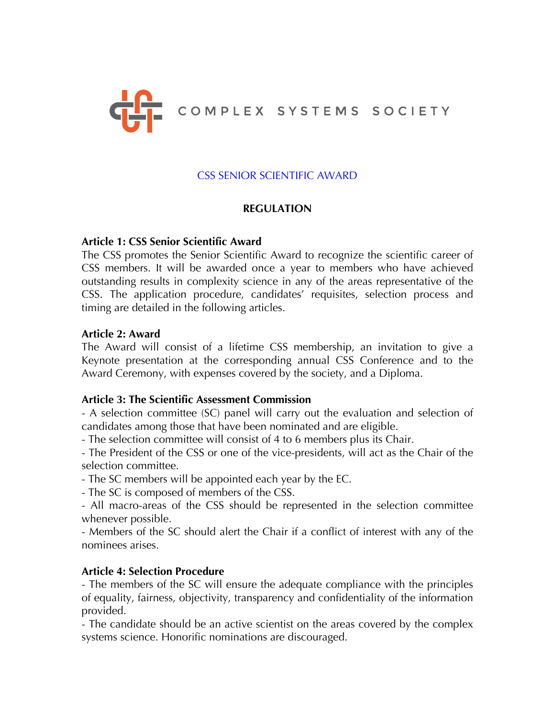

# CSS SENIOR SCIENTIFIC AWARD

## **REGULATION**

#### **Article 1: CSS Senior Scientific Award**

The CSS promotes the Senior Scientific Award to recognize the scientific career of CSS members. It will be awarded once a year to members who have achieved outstanding results in complexity science in any of the areas representative of the CSS. The application procedure, candidates' requisites, selection process and timing are detailed in the following articles.

#### **Article 2: Award**

The Award will consist of a lifetime CSS membership, an invitation to give a Keynote presentation at the corresponding annual CSS Conference and to the Award Ceremony, with expenses covered by the society, and a Diploma.

### **Article 3: The Scientific Assessment Commission**

- A selection committee (SC) panel will carry out the evaluation and selection of candidates among those that have been nominated and are eligible.

- The selection committee will consist of 4 to 6 members plus its Chair.

- The President of the CSS or one of the vice-presidents, will act as the Chair of the selection committee.

- The SC members will be appointed each year by the EC.

- The SC is composed of members of the CSS.

- All macro-areas of the CSS should be represented in the selection committee whenever possible.

- Members of the SC should alert the Chair if a conflict of interest with any of the nominees arises.

### **Article 4: Selection Procedure**

- The members of the SC will ensure the adequate compliance with the principles of equality, fairness, objectivity, transparency and confidentiality of the information provided.

- The candidate should be an active scientist on the areas covered by the complex systems science. Honorific nominations are discouraged.